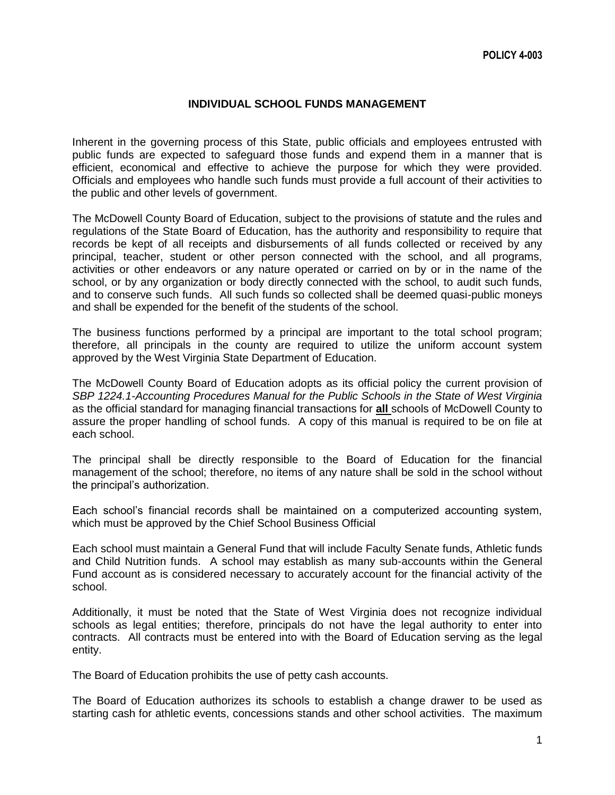## **INDIVIDUAL SCHOOL FUNDS MANAGEMENT**

Inherent in the governing process of this State, public officials and employees entrusted with public funds are expected to safeguard those funds and expend them in a manner that is efficient, economical and effective to achieve the purpose for which they were provided. Officials and employees who handle such funds must provide a full account of their activities to the public and other levels of government.

The McDowell County Board of Education, subject to the provisions of statute and the rules and regulations of the State Board of Education, has the authority and responsibility to require that records be kept of all receipts and disbursements of all funds collected or received by any principal, teacher, student or other person connected with the school, and all programs, activities or other endeavors or any nature operated or carried on by or in the name of the school, or by any organization or body directly connected with the school, to audit such funds, and to conserve such funds. All such funds so collected shall be deemed quasi-public moneys and shall be expended for the benefit of the students of the school.

The business functions performed by a principal are important to the total school program; therefore, all principals in the county are required to utilize the uniform account system approved by the West Virginia State Department of Education.

The McDowell County Board of Education adopts as its official policy the current provision of *SBP 1224.1-Accounting Procedures Manual for the Public Schools in the State of West Virginia*  as the official standard for managing financial transactions for **all** schools of McDowell County to assure the proper handling of school funds. A copy of this manual is required to be on file at each school.

The principal shall be directly responsible to the Board of Education for the financial management of the school; therefore, no items of any nature shall be sold in the school without the principal's authorization.

Each school's financial records shall be maintained on a computerized accounting system, which must be approved by the Chief School Business Official

Each school must maintain a General Fund that will include Faculty Senate funds, Athletic funds and Child Nutrition funds. A school may establish as many sub-accounts within the General Fund account as is considered necessary to accurately account for the financial activity of the school.

Additionally, it must be noted that the State of West Virginia does not recognize individual schools as legal entities; therefore, principals do not have the legal authority to enter into contracts. All contracts must be entered into with the Board of Education serving as the legal entity.

The Board of Education prohibits the use of petty cash accounts.

The Board of Education authorizes its schools to establish a change drawer to be used as starting cash for athletic events, concessions stands and other school activities. The maximum